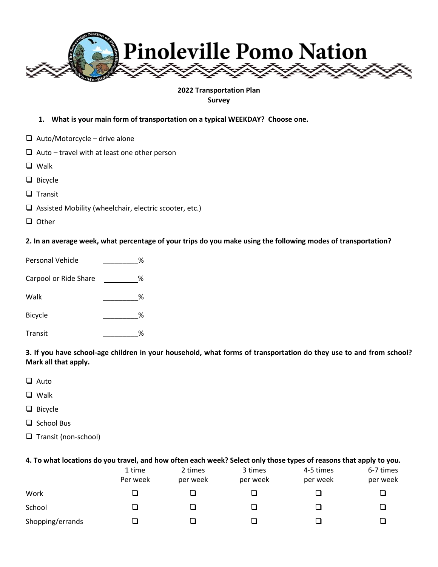

#### **2022 Transportation Plan Survey**

- **1. What is your main form of transportation on a typical WEEKDAY? Choose one.**
- $\Box$  Auto/Motorcycle drive alone
- $\Box$  Auto travel with at least one other person
- ❑ Walk
- ❑ Bicycle
- ❑ Transit
- ❑ Assisted Mobility (wheelchair, electric scooter, etc.)
- ❑ Other

**2. In an average week, what percentage of your trips do you make using the following modes of transportation?**

| Personal Vehicle      | ℅ |
|-----------------------|---|
| Carpool or Ride Share | % |
| Walk                  | ℅ |
| <b>Bicycle</b>        | ℅ |
| Transit               | ℅ |

**3. If you have school-age children in your household, what forms of transportation do they use to and from school? Mark all that apply.**

- ❑ Auto
- ❑ Walk
- ❑ Bicycle
- ❑ School Bus
- ❑ Transit (non-school)

#### **4. To what locations do you travel, and how often each week? Select only those types of reasons that apply to you.**

|                  | 1 time<br>Per week | 2 times<br>per week | 3 times<br>per week | 4-5 times<br>per week | 6-7 times<br>per week |
|------------------|--------------------|---------------------|---------------------|-----------------------|-----------------------|
| Work             | ┚                  |                     |                     |                       |                       |
| School           | ┚                  |                     |                     |                       |                       |
| Shopping/errands |                    |                     |                     |                       |                       |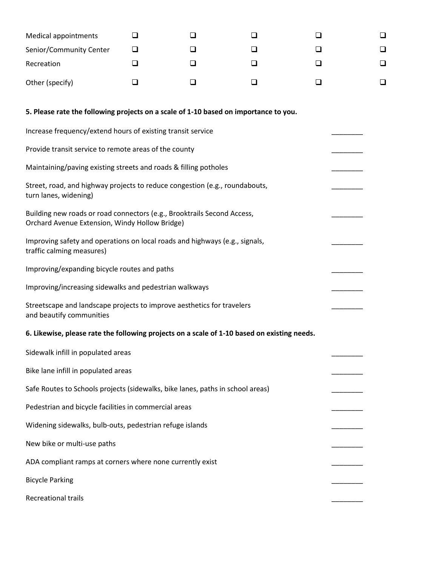| <b>Medical appointments</b>                                                                                               | ப      | □ | l 1 | ⊔      | ப |
|---------------------------------------------------------------------------------------------------------------------------|--------|---|-----|--------|---|
| Senior/Community Center                                                                                                   | ப      | ⊔ | ⊔   | □      | ❏ |
| Recreation                                                                                                                | □      | □ | ப   | ❏      | ❏ |
| Other (specify)                                                                                                           | $\Box$ | ❏ | □   | $\Box$ | ⊔ |
| 5. Please rate the following projects on a scale of 1-10 based on importance to you.                                      |        |   |     |        |   |
| Increase frequency/extend hours of existing transit service                                                               |        |   |     |        |   |
| Provide transit service to remote areas of the county                                                                     |        |   |     |        |   |
| Maintaining/paving existing streets and roads & filling potholes                                                          |        |   |     |        |   |
| Street, road, and highway projects to reduce congestion (e.g., roundabouts,<br>turn lanes, widening)                      |        |   |     |        |   |
| Building new roads or road connectors (e.g., Brooktrails Second Access,<br>Orchard Avenue Extension, Windy Hollow Bridge) |        |   |     |        |   |
| Improving safety and operations on local roads and highways (e.g., signals,<br>traffic calming measures)                  |        |   |     |        |   |
| Improving/expanding bicycle routes and paths                                                                              |        |   |     |        |   |
| Improving/increasing sidewalks and pedestrian walkways                                                                    |        |   |     |        |   |
| Streetscape and landscape projects to improve aesthetics for travelers<br>and beautify communities                        |        |   |     |        |   |
| 6. Likewise, please rate the following projects on a scale of 1-10 based on existing needs.                               |        |   |     |        |   |
| Sidewalk infill in populated areas                                                                                        |        |   |     |        |   |
| Bike lane infill in populated areas                                                                                       |        |   |     |        |   |
| Safe Routes to Schools projects (sidewalks, bike lanes, paths in school areas)                                            |        |   |     |        |   |
| Pedestrian and bicycle facilities in commercial areas                                                                     |        |   |     |        |   |
| Widening sidewalks, bulb-outs, pedestrian refuge islands                                                                  |        |   |     |        |   |
| New bike or multi-use paths                                                                                               |        |   |     |        |   |
| ADA compliant ramps at corners where none currently exist                                                                 |        |   |     |        |   |
| <b>Bicycle Parking</b>                                                                                                    |        |   |     |        |   |
| Recreational trails                                                                                                       |        |   |     |        |   |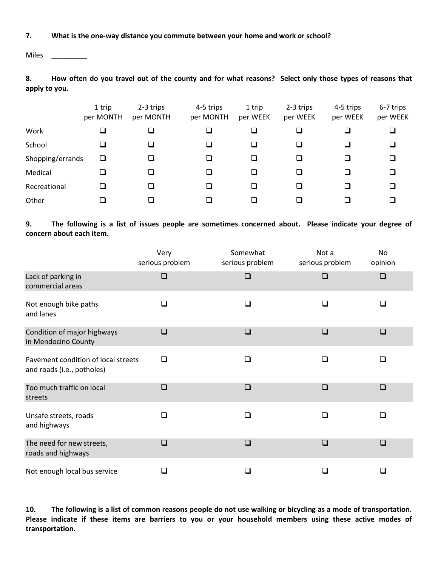## **7. What is the one-way distance you commute between your home and work or school?**

Miles \_\_\_\_\_\_\_\_\_

**8. How often do you travel out of the county and for what reasons? Select only those types of reasons that apply to you.**

|                  | 1 trip<br>per MONTH | 2-3 trips<br>per MONTH | 4-5 trips<br>per MONTH | 1 trip<br>per WEEK | 2-3 trips<br>per WEEK | 4-5 trips<br>per WEEK | 6-7 trips<br>per WEEK |
|------------------|---------------------|------------------------|------------------------|--------------------|-----------------------|-----------------------|-----------------------|
| Work             |                     |                        |                        |                    |                       | $\Box$                | ❏                     |
| School           |                     | ❏                      |                        | ❏                  |                       | $\Box$                | ❏                     |
| Shopping/errands | ⊔                   |                        |                        | ⊔                  |                       | $\Box$                | ❏                     |
| Medical          |                     |                        |                        | $\mathcal{L}$      |                       | ◻                     | ◻                     |
| Recreational     |                     | ⊐                      |                        | ❏                  |                       | ◻                     | ◻                     |
| Other            |                     |                        |                        |                    |                       | П                     | ш                     |

**9. The following is a list of issues people are sometimes concerned about. Please indicate your degree of concern about each item.** 

|                                                                   | Very<br>serious problem | Somewhat<br>serious problem | Not a<br>serious problem | No<br>opinion |
|-------------------------------------------------------------------|-------------------------|-----------------------------|--------------------------|---------------|
| Lack of parking in<br>commercial areas                            | $\Box$                  | $\Box$                      | $\Box$                   | $\Box$        |
| Not enough bike paths<br>and lanes                                | □                       | $\Box$                      | ◻                        | П             |
| Condition of major highways<br>in Mendocino County                | ❏                       | $\Box$                      | ❏                        | $\Box$        |
| Pavement condition of local streets<br>and roads (i.e., potholes) | $\Box$                  | $\Box$                      | □                        | □             |
| Too much traffic on local<br>streets                              | $\Box$                  | $\Box$                      | $\square$                | ❏             |
| Unsafe streets, roads<br>and highways                             | $\Box$                  | ∩                           | ∩                        | П             |
| The need for new streets,<br>roads and highways                   | $\Box$                  | $\Box$                      | $\square$                | $\Box$        |
| Not enough local bus service                                      |                         | □                           | ┓                        |               |

**10. The following is a list of common reasons people do not use walking or bicycling as a mode of transportation. Please indicate if these items are barriers to you or your household members using these active modes of transportation.**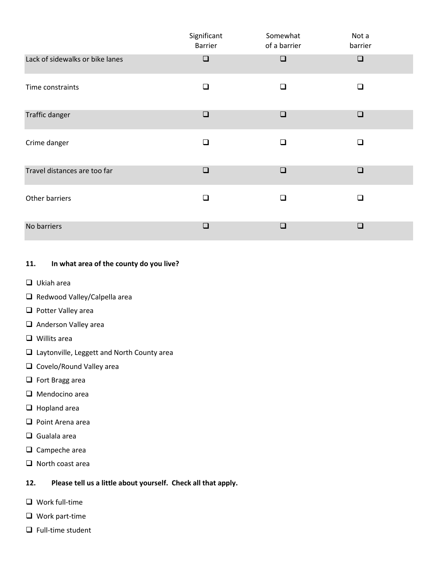|                                 | Significant<br><b>Barrier</b> | Somewhat<br>of a barrier | Not a<br>barrier |
|---------------------------------|-------------------------------|--------------------------|------------------|
| Lack of sidewalks or bike lanes | $\Box$                        | $\Box$                   | $\Box$           |
| Time constraints                | $\Box$                        | ◻                        | $\Box$           |
| <b>Traffic danger</b>           | $\Box$                        | $\square$                | $\Box$           |
| Crime danger                    | ❏                             | □                        | $\Box$           |
| Travel distances are too far    | $\Box$                        | $\square$                | $\Box$           |
| Other barriers                  | $\Box$                        | $\Box$                   | $\Box$           |
| No barriers                     | $\Box$                        |                          | $\Box$           |

# **11. In what area of the county do you live?**

- ❑ Ukiah area
- ❑ Redwood Valley/Calpella area
- ❑ Potter Valley area
- ❑ Anderson Valley area
- ❑ Willits area
- ❑ Laytonville, Leggett and North County area
- ❑ Covelo/Round Valley area
- ❑ Fort Bragg area
- ❑ Mendocino area
- ❑ Hopland area
- ❑ Point Arena area
- ❑ Gualala area
- ❑ Campeche area
- ❑ North coast area

## **12. Please tell us a little about yourself. Check all that apply.**

- ❑ Work full-time
- ❑ Work part-time
- ❑ Full-time student